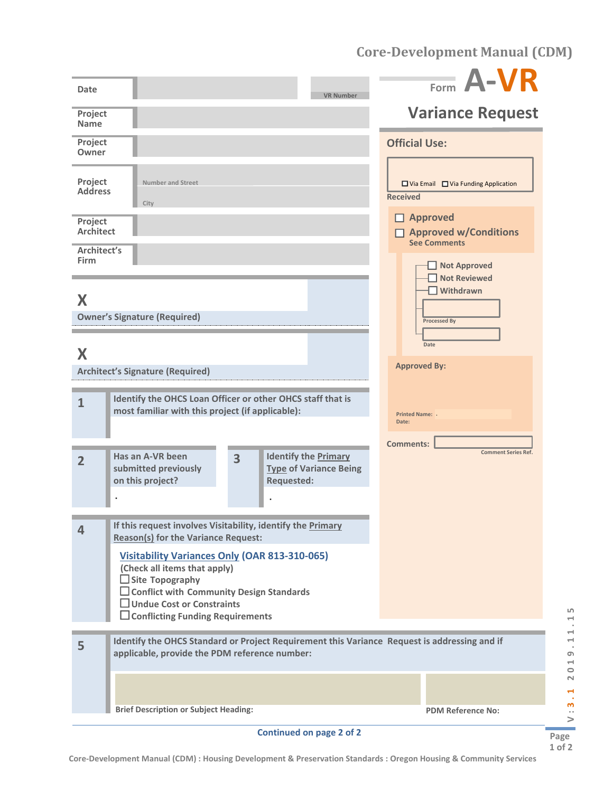**Core-Development Manual (CDM)**

| Date                                       | <b>VR Number</b>                                                                                                                                                                                                                                 | Form A-VR                                                                      |
|--------------------------------------------|--------------------------------------------------------------------------------------------------------------------------------------------------------------------------------------------------------------------------------------------------|--------------------------------------------------------------------------------|
| Project<br><b>Name</b>                     |                                                                                                                                                                                                                                                  | <b>Variance Request</b>                                                        |
| Project<br>Owner                           |                                                                                                                                                                                                                                                  | <b>Official Use:</b>                                                           |
| Project<br><b>Address</b>                  | Number and Street<br>City                                                                                                                                                                                                                        | $\Box$ Via Email $\Box$ Via Funding Application<br><b>Received</b>             |
| Project<br><b>Architect</b><br>Architect's |                                                                                                                                                                                                                                                  | $\Box$ Approved<br>$\Box$ Approved w/Conditions<br><b>See Comments</b>         |
| <b>Firm</b><br>X                           | <b>Owner's Signature (Required)</b>                                                                                                                                                                                                              | Not Approved<br><b>Not Reviewed</b><br>$\Box$ Withdrawn<br><b>Processed By</b> |
| X                                          | <b>Architect's Signature (Required)</b>                                                                                                                                                                                                          | Date<br><b>Approved By:</b>                                                    |
| $\mathbf{1}$                               | Identify the OHCS Loan Officer or other OHCS staff that is<br>most familiar with this project (if applicable):                                                                                                                                   | <b>Printed Name: .</b><br>Date:                                                |
| $\overline{2}$                             | Has an A-VR been<br><b>Identify the Primary</b><br>$\overline{3}$<br>submitted previously<br><b>Type of Variance Being</b><br>on this project?<br><b>Requested:</b>                                                                              | <b>Comments:</b><br><b>Comment Series Ref.</b>                                 |
| 4                                          | If this request involves Visitability, identify the Primary<br><b>Reason(s) for the Variance Request:</b>                                                                                                                                        |                                                                                |
|                                            | <b>Visitability Variances Only (OAR 813-310-065)</b><br>(Check all items that apply)<br>$\Box$ Site Topography<br>$\Box$ Conflict with Community Design Standards<br>$\Box$ Undue Cost or Constraints<br>$\Box$ Conflicting Funding Requirements |                                                                                |
| 5                                          | Identify the OHCS Standard or Project Requirement this Variance Request is addressing and if<br>applicable, provide the PDM reference number:                                                                                                    |                                                                                |
|                                            | <b>Brief Description or Subject Heading:</b>                                                                                                                                                                                                     | <b>PDM Reference No:</b>                                                       |
|                                            | <b>Continued on page 2 of 2</b>                                                                                                                                                                                                                  |                                                                                |

V:3.1 2019.11.15 **Page 1 of 2**